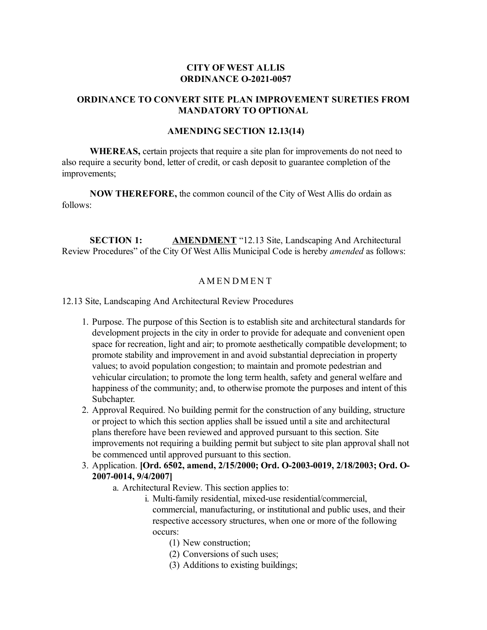## **CITY OF WEST ALLIS ORDINANCE O-2021-0057**

### **ORDINANCE TO CONVERT SITE PLAN IMPROVEMENT SURETIES FROM MANDATORY TO OPTIONAL**

### **AMENDING SECTION 12.13(14)**

**WHEREAS,** certain projects that require a site plan for improvements do not need to also require a security bond, letter of credit, or cash deposit to guarantee completion of the improvements;

**NOW THEREFORE,** the common council of the City of West Allis do ordain as follows:

**SECTION 1: AMENDMENT** "12.13 Site, Landscaping And Architectural Review Procedures" of the City Of West Allis Municipal Code is hereby *amended* as follows:

### **AMENDMENT**

12.13 Site, Landscaping And Architectural Review Procedures

- 1. Purpose. The purpose of this Section is to establish site and architectural standards for development projects in the city in order to provide for adequate and convenient open space for recreation, light and air; to promote aesthetically compatible development; to promote stability and improvement in and avoid substantial depreciation in property values; to avoid population congestion; to maintain and promote pedestrian and vehicular circulation; to promote the long term health, safety and general welfare and happiness of the community; and, to otherwise promote the purposes and intent of this Subchapter.
- 2. Approval Required. No building permit for the construction of any building, structure or project to which this section applies shall be issued until a site and architectural plans therefore have been reviewed and approved pursuant to this section. Site improvements not requiring a building permit but subject to site plan approval shall not be commenced until approved pursuant to this section.
- 3. Application. **[Ord. 6502, amend, 2/15/2000; Ord. O-2003-0019, 2/18/2003; Ord. O-2007-0014, 9/4/2007]**
	- a. Architectural Review. This section applies to:
		- i. Multi-family residential, mixed-use residential/commercial, commercial, manufacturing, or institutional and public uses, and their respective accessory structures, when one or more of the following occurs:
			- (1) New construction;
			- (2) Conversions of such uses;
			- (3) Additions to existing buildings;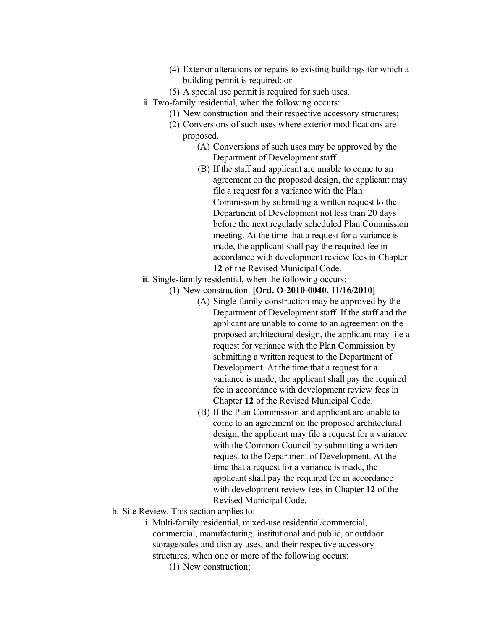- (4) Exterior alterations or repairs to existing buildings for which a building permit is required; or
- (5) A special use permit is required for such uses.
- ii. Two-family residential, when the following occurs:
	- (1) New construction and their respective accessory structures;
	- (2) Conversions of such uses where exterior modifications are proposed.
		- (A) Conversions of such uses may be approved by the Department of Development staff.
		- (B) If the staff and applicant are unable to come to an agreement on the proposed design, the applicant may file a request for a variance with the Plan Commission by submitting a written request to the Department of Development not less than 20 days before the next regularly scheduled Plan Commission meeting. At the time that a request for a variance is made, the applicant shall pay the required fee in accordance with development review fees in Chapter **12** of the Revised Municipal Code.
- iii. Single-family residential, when the following occurs:
	- (1) New construction. **[Ord. O-2010-0040, 11/16/2010]**
		- (A) Single-family construction may be approved by the Department of Development staff. If the staff and the applicant are unable to come to an agreement on the proposed architectural design, the applicant may file a request for variance with the Plan Commission by submitting a written request to the Department of Development. At the time that a request for a variance is made, the applicant shall pay the required fee in accordance with development review fees in Chapter **12** of the Revised Municipal Code.
		- (B) If the Plan Commission and applicant are unable to come to an agreement on the proposed architectural design, the applicant may file a request for a variance with the Common Council by submitting a written request to the Department of Development. At the time that a request for a variance is made, the applicant shall pay the required fee in accordance with development review fees in Chapter **12** of the Revised Municipal Code.
- b. Site Review. This section applies to:
	- i. Multi-family residential, mixed-use residential/commercial, commercial, manufacturing, institutional and public, or outdoor storage/sales and display uses, and their respective accessory structures, when one or more of the following occurs:
		- (1) New construction;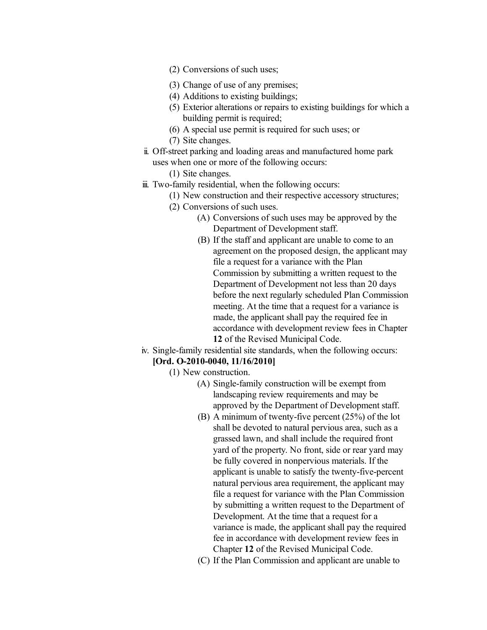- (2) Conversions of such uses;
- (3) Change of use of any premises;
- (4) Additions to existing buildings;
- (5) Exterior alterations or repairs to existing buildings for which a building permit is required;
- (6) A special use permit is required for such uses; or
- (7) Site changes.
- ii. Off-street parking and loading areas and manufactured home park uses when one or more of the following occurs:
	- (1) Site changes.
- iii. Two-family residential, when the following occurs:
	- (1) New construction and their respective accessory structures;
	- (2) Conversions of such uses.
		- (A) Conversions of such uses may be approved by the Department of Development staff.
		- (B) If the staff and applicant are unable to come to an agreement on the proposed design, the applicant may file a request for a variance with the Plan Commission by submitting a written request to the Department of Development not less than 20 days before the next regularly scheduled Plan Commission meeting. At the time that a request for a variance is made, the applicant shall pay the required fee in accordance with development review fees in Chapter **12** of the Revised Municipal Code.
- iv. Single-family residential site standards, when the following occurs:

# **[Ord. O-2010-0040, 11/16/2010]**

- (1) New construction.
	- (A) Single-family construction will be exempt from landscaping review requirements and may be approved by the Department of Development staff.
	- (B) A minimum of twenty-five percent (25%) of the lot shall be devoted to natural pervious area, such as a grassed lawn, and shall include the required front yard of the property. No front, side or rear yard may be fully covered in nonpervious materials. If the applicant is unable to satisfy the twenty-five-percent natural pervious area requirement, the applicant may file a request for variance with the Plan Commission by submitting a written request to the Department of Development. At the time that a request for a variance is made, the applicant shall pay the required fee in accordance with development review fees in Chapter **12** of the Revised Municipal Code.
	- (C) If the Plan Commission and applicant are unable to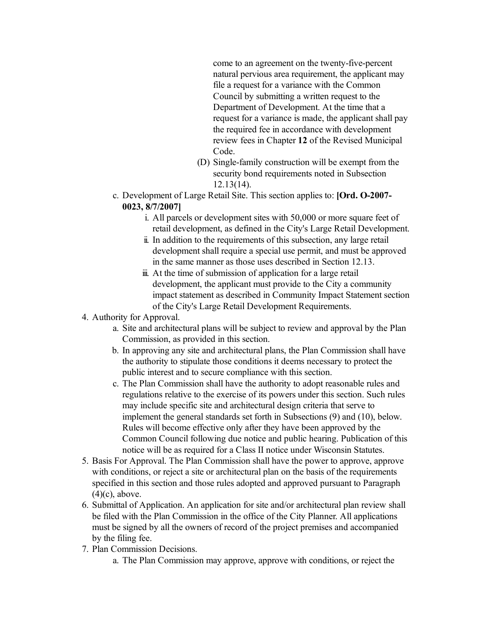come to an agreement on the twenty-five-percent natural pervious area requirement, the applicant may file a request for a variance with the Common Council by submitting a written request to the Department of Development. At the time that a request for a variance is made, the applicant shall pay the required fee in accordance with development review fees in Chapter **12** of the Revised Municipal Code.

- (D) Single-family construction will be exempt from the security bond requirements noted in Subsection 12.13(14).
- c. Development of Large Retail Site. This section applies to: **[Ord. O-2007- 0023, 8/7/2007]**
	- i. All parcels or development sites with 50,000 or more square feet of retail development, as defined in the City's Large Retail Development.
	- ii. In addition to the requirements of this subsection, any large retail development shall require a special use permit, and must be approved in the same manner as those uses described in Section 12.13.
	- iii. At the time of submission of application for a large retail development, the applicant must provide to the City a community impact statement as described in Community Impact Statement section of the City's Large Retail Development Requirements.

### 4. Authority for Approval.

- a. Site and architectural plans will be subject to review and approval by the Plan Commission, as provided in this section.
- b. In approving any site and architectural plans, the Plan Commission shall have the authority to stipulate those conditions it deems necessary to protect the public interest and to secure compliance with this section.
- c. The Plan Commission shall have the authority to adopt reasonable rules and regulations relative to the exercise of its powers under this section. Such rules may include specific site and architectural design criteria that serve to implement the general standards set forth in Subsections (9) and (10), below. Rules will become effective only after they have been approved by the Common Council following due notice and public hearing. Publication of this notice will be as required for a Class II notice under Wisconsin Statutes.
- 5. Basis For Approval. The Plan Commission shall have the power to approve, approve with conditions, or reject a site or architectural plan on the basis of the requirements specified in this section and those rules adopted and approved pursuant to Paragraph (4)(c), above.
- 6. Submittal of Application. An application for site and/or architectural plan review shall be filed with the Plan Commission in the office of the City Planner. All applications must be signed by all the owners of record of the project premises and accompanied by the filing fee.
- 7. Plan Commission Decisions.
	- a. The Plan Commission may approve, approve with conditions, or reject the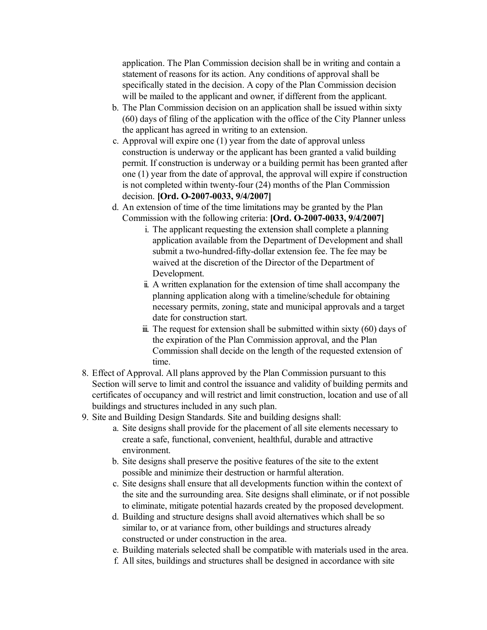application. The Plan Commission decision shall be in writing and contain a statement of reasons for its action. Any conditions of approval shall be specifically stated in the decision. A copy of the Plan Commission decision will be mailed to the applicant and owner, if different from the applicant.

- b. The Plan Commission decision on an application shall be issued within sixty (60) days of filing of the application with the office of the City Planner unless the applicant has agreed in writing to an extension.
- c. Approval will expire one (1) year from the date of approval unless construction is underway or the applicant has been granted a valid building permit. If construction is underway or a building permit has been granted after one (1) year from the date of approval, the approval will expire if construction is not completed within twenty-four (24) months of the Plan Commission decision. **[Ord. O-2007-0033, 9/4/2007]**
- d. An extension of time of the time limitations may be granted by the Plan Commission with the following criteria: **[Ord. O-2007-0033, 9/4/2007]**
	- i. The applicant requesting the extension shall complete a planning application available from the Department of Development and shall submit a two-hundred-fifty-dollar extension fee. The fee may be waived at the discretion of the Director of the Department of Development.
	- ii. A written explanation for the extension of time shall accompany the planning application along with a timeline/schedule for obtaining necessary permits, zoning, state and municipal approvals and a target date for construction start.
	- $\ddot{\text{m}}$ . The request for extension shall be submitted within sixty (60) days of the expiration of the Plan Commission approval, and the Plan Commission shall decide on the length of the requested extension of time.
- 8. Effect of Approval. All plans approved by the Plan Commission pursuant to this Section will serve to limit and control the issuance and validity of building permits and certificates of occupancy and will restrict and limit construction, location and use of all buildings and structures included in any such plan.
- 9. Site and Building Design Standards. Site and building designs shall:
	- a. Site designs shall provide for the placement of all site elements necessary to create a safe, functional, convenient, healthful, durable and attractive environment.
	- b. Site designs shall preserve the positive features of the site to the extent possible and minimize their destruction or harmful alteration.
	- c. Site designs shall ensure that all developments function within the context of the site and the surrounding area. Site designs shall eliminate, or if not possible to eliminate, mitigate potential hazards created by the proposed development.
	- d. Building and structure designs shall avoid alternatives which shall be so similar to, or at variance from, other buildings and structures already constructed or under construction in the area.
	- e. Building materials selected shall be compatible with materials used in the area.
	- f. All sites, buildings and structures shall be designed in accordance with site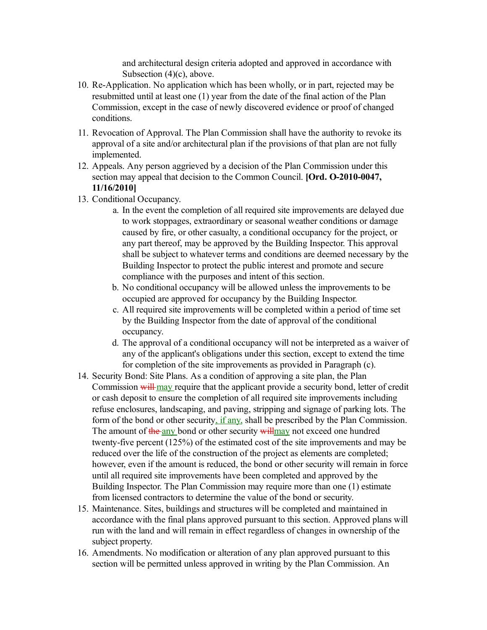and architectural design criteria adopted and approved in accordance with Subsection (4)(c), above.

- 10. Re-Application. No application which has been wholly, or in part, rejected may be resubmitted until at least one (1) year from the date of the final action of the Plan Commission, except in the case of newly discovered evidence or proof of changed conditions.
- 11. Revocation of Approval. The Plan Commission shall have the authority to revoke its approval of a site and/or architectural plan if the provisions of that plan are not fully implemented.
- 12. Appeals. Any person aggrieved by a decision of the Plan Commission under this section may appeal that decision to the Common Council. **[Ord. O-2010-0047, 11/16/2010]**
- 13. Conditional Occupancy.
	- a. In the event the completion of all required site improvements are delayed due to work stoppages, extraordinary or seasonal weather conditions or damage caused by fire, or other casualty, a conditional occupancy for the project, or any part thereof, may be approved by the Building Inspector. This approval shall be subject to whatever terms and conditions are deemed necessary by the Building Inspector to protect the public interest and promote and secure compliance with the purposes and intent of this section.
	- b. No conditional occupancy will be allowed unless the improvements to be occupied are approved for occupancy by the Building Inspector.
	- c. All required site improvements will be completed within a period of time set by the Building Inspector from the date of approval of the conditional occupancy.
	- d. The approval of a conditional occupancy will not be interpreted as a waiver of any of the applicant's obligations under this section, except to extend the time for completion of the site improvements as provided in Paragraph (c).
- 14. Security Bond: Site Plans. As a condition of approving a site plan, the Plan Commission will may require that the applicant provide a security bond, letter of credit or cash deposit to ensure the completion of all required site improvements including refuse enclosures, landscaping, and paving, stripping and signage of parking lots. The form of the bond or other security, if any, shall be prescribed by the Plan Commission. The amount of the any bond or other security will may not exceed one hundred twenty-five percent (125%) of the estimated cost of the site improvements and may be reduced over the life of the construction of the project as elements are completed; however, even if the amount is reduced, the bond or other security will remain in force until all required site improvements have been completed and approved by the Building Inspector. The Plan Commission may require more than one (1) estimate from licensed contractors to determine the value of the bond or security.
- 15. Maintenance. Sites, buildings and structures will be completed and maintained in accordance with the final plans approved pursuant to this section. Approved plans will run with the land and will remain in effect regardless of changes in ownership of the subject property.
- 16. Amendments. No modification or alteration of any plan approved pursuant to this section will be permitted unless approved in writing by the Plan Commission. An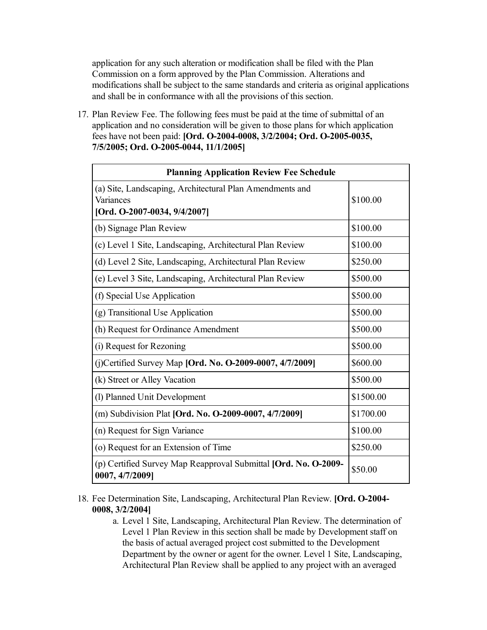application for any such alteration or modification shall be filed with the Plan Commission on a form approved by the Plan Commission. Alterations and modifications shall be subject to the same standards and criteria as original applications and shall be in conformance with all the provisions of this section.

17. Plan Review Fee. The following fees must be paid at the time of submittal of an application and no consideration will be given to those plans for which application fees have not been paid: **[Ord. O-2004-0008, 3/2/2004; Ord. O-2005-0035, 7/5/2005; Ord. O-2005-0044, 11/1/2005]**

| <b>Planning Application Review Fee Schedule</b>                                                       |           |  |  |  |
|-------------------------------------------------------------------------------------------------------|-----------|--|--|--|
| (a) Site, Landscaping, Architectural Plan Amendments and<br>Variances<br>[Ord. O-2007-0034, 9/4/2007] | \$100.00  |  |  |  |
| (b) Signage Plan Review                                                                               | \$100.00  |  |  |  |
| (c) Level 1 Site, Landscaping, Architectural Plan Review                                              | \$100.00  |  |  |  |
| (d) Level 2 Site, Landscaping, Architectural Plan Review                                              | \$250.00  |  |  |  |
| (e) Level 3 Site, Landscaping, Architectural Plan Review                                              | \$500.00  |  |  |  |
| (f) Special Use Application                                                                           | \$500.00  |  |  |  |
| (g) Transitional Use Application                                                                      | \$500.00  |  |  |  |
| (h) Request for Ordinance Amendment                                                                   | \$500.00  |  |  |  |
| (i) Request for Rezoning                                                                              | \$500.00  |  |  |  |
| (j)Certified Survey Map [Ord. No. O-2009-0007, 4/7/2009]                                              | \$600.00  |  |  |  |
| (k) Street or Alley Vacation                                                                          | \$500.00  |  |  |  |
| (1) Planned Unit Development                                                                          | \$1500.00 |  |  |  |
| (m) Subdivision Plat [Ord. No. O-2009-0007, 4/7/2009]                                                 | \$1700.00 |  |  |  |
| (n) Request for Sign Variance                                                                         | \$100.00  |  |  |  |
| (o) Request for an Extension of Time                                                                  | \$250.00  |  |  |  |
| (p) Certified Survey Map Reapproval Submittal [Ord. No. O-2009-<br>0007, 4/7/2009]                    | \$50.00   |  |  |  |

- 18. Fee Determination Site, Landscaping, Architectural Plan Review. **[Ord. O-2004- 0008, 3/2/2004]**
	- a. Level 1 Site, Landscaping, Architectural Plan Review. The determination of Level 1 Plan Review in this section shall be made by Development staff on the basis of actual averaged project cost submitted to the Development Department by the owner or agent for the owner. Level 1 Site, Landscaping, Architectural Plan Review shall be applied to any project with an averaged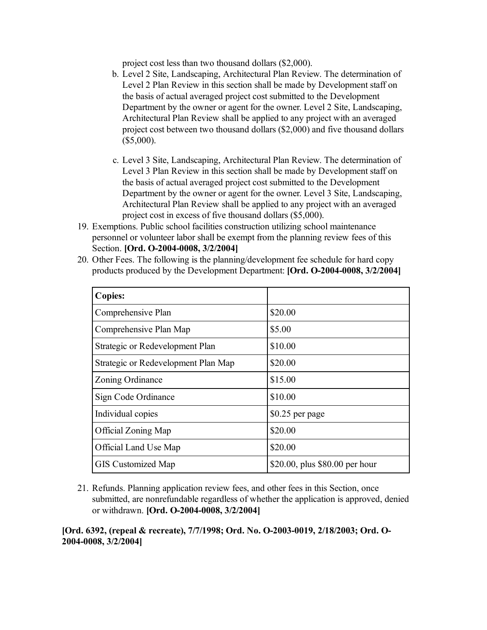project cost less than two thousand dollars (\$2,000).

- b. Level 2 Site, Landscaping, Architectural Plan Review. The determination of Level 2 Plan Review in this section shall be made by Development staff on the basis of actual averaged project cost submitted to the Development Department by the owner or agent for the owner. Level 2 Site, Landscaping, Architectural Plan Review shall be applied to any project with an averaged project cost between two thousand dollars (\$2,000) and five thousand dollars (\$5,000).
- c. Level 3 Site, Landscaping, Architectural Plan Review. The determination of Level 3 Plan Review in this section shall be made by Development staff on the basis of actual averaged project cost submitted to the Development Department by the owner or agent for the owner. Level 3 Site, Landscaping, Architectural Plan Review shall be applied to any project with an averaged project cost in excess of five thousand dollars (\$5,000).
- 19. Exemptions. Public school facilities construction utilizing school maintenance personnel or volunteer labor shall be exempt from the planning review fees of this Section. **[Ord. O-2004-0008, 3/2/2004]**
- 20. Other Fees. The following is the planning/development fee schedule for hard copy products produced by the Development Department: **[Ord. O-2004-0008, 3/2/2004]**

| <b>Copies:</b>                      |                                |  |
|-------------------------------------|--------------------------------|--|
| Comprehensive Plan                  | \$20.00                        |  |
| Comprehensive Plan Map              | \$5.00                         |  |
| Strategic or Redevelopment Plan     | \$10.00                        |  |
| Strategic or Redevelopment Plan Map | \$20.00                        |  |
| Zoning Ordinance                    | \$15.00                        |  |
| Sign Code Ordinance                 | \$10.00                        |  |
| Individual copies                   | \$0.25 per page                |  |
| <b>Official Zoning Map</b>          | \$20.00                        |  |
| Official Land Use Map               | \$20.00                        |  |
| <b>GIS</b> Customized Map           | \$20.00, plus \$80.00 per hour |  |

21. Refunds. Planning application review fees, and other fees in this Section, once submitted, are nonrefundable regardless of whether the application is approved, denied or withdrawn. **[Ord. O-2004-0008, 3/2/2004]**

### **[Ord. 6392, (repeal & recreate), 7/7/1998; Ord. No. O-2003-0019, 2/18/2003; Ord. O-2004-0008, 3/2/2004]**